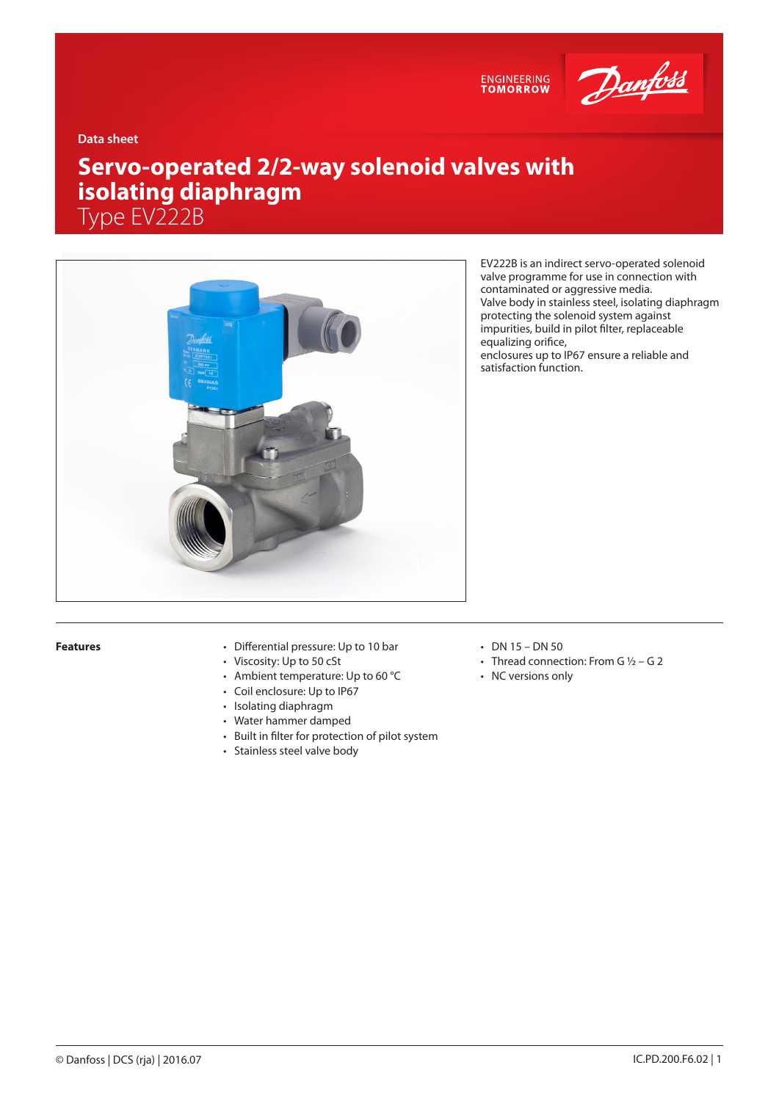

ENGINEERING<br>TOMORROW

**Data sheet**

# **Servo-operated 2/2-way solenoid valves with isolating diaphragm** Type EV222B



EV222B is an indirect servo-operated solenoid valve programme for use in connection with contaminated or aggressive media. Valve body in stainless steel, isolating diaphragm protecting the solenoid system against impurities, build in pilot filter, replaceable equalizing orifice, enclosures up to IP67 ensure a reliable and satisfaction function.

- **Features** Differential pressure: Up to 10 bar
	- Viscosity: Up to 50 cSt
	- Ambient temperature: Up to 60 °C
	- Coil enclosure: Up to IP67
	- Isolating diaphragm
	- Water hammer damped
	- Built in filter for protection of pilot system
	- Stainless steel valve body
- DN 15 DN 50
- Thread connection: From G  $1/2$  G 2
- NC versions only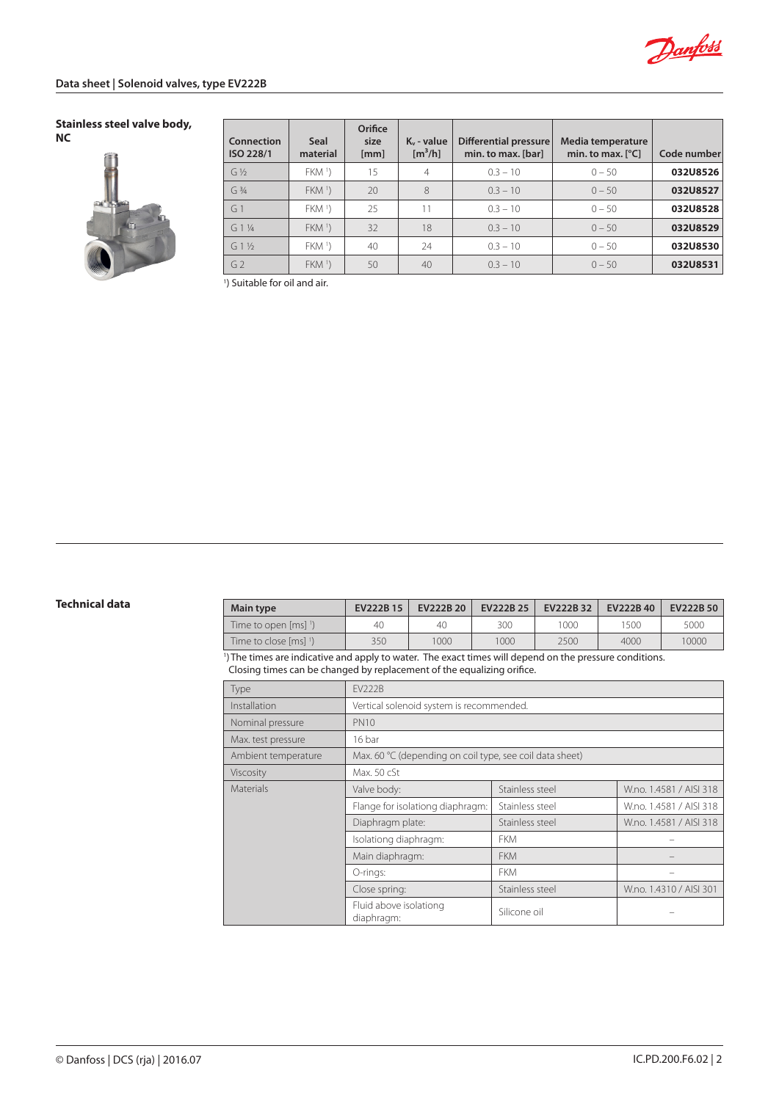

#### **Stainless steel valve body, NC**



| Connection<br>ISO 228/1 | Seal<br>material | Orifice<br>size<br>[mm] | $K_v$ - value<br>$\left[\text{m}^3/\text{h}\right]$ | <b>Differential pressure</b><br>min. to max. [bar] | Media temperature<br>min. to max. $[^{\circ}C]$ | Code number |
|-------------------------|------------------|-------------------------|-----------------------------------------------------|----------------------------------------------------|-------------------------------------------------|-------------|
| $G\frac{1}{2}$          | FKM <sup>1</sup> | 15                      | 4                                                   | $0.3 - 10$                                         | $0 - 50$                                        | 032U8526    |
| $G_3/4$                 | FKM <sup>1</sup> | 20                      | 8                                                   | $0.3 - 10$                                         | $0 - 50$                                        | 032U8527    |
| G <sub>1</sub>          | FKM <sup>1</sup> | 25                      | 11                                                  | $0.3 - 10$                                         | $0 - 50$                                        | 032U8528    |
| $G1\%$                  | FKM <sup>1</sup> | 32                      | 18                                                  | $0.3 - 10$                                         | $0 - 50$                                        | 032U8529    |
| $G1\%$                  | FKM <sup>1</sup> | 40                      | 24                                                  | $0.3 - 10$                                         | $0 - 50$                                        | 032U8530    |
| G <sub>2</sub>          | FKM <sup>1</sup> | 50                      | 40                                                  | $0.3 - 10$                                         | $0 - 50$                                        | 032U8531    |

1 ) Suitable for oil and air.

| Technical data | <b>Main type</b>                               | EV222B 15 | <b>EV222B 20</b> | EV222B 25 | EV222B 32 | EV222B 40                               | <b>EV222B 50</b> |
|----------------|------------------------------------------------|-----------|------------------|-----------|-----------|-----------------------------------------|------------------|
|                | Time to open $\lceil ms \rceil$ <sup>1</sup> ) | 40        | 40               | 300       | 000       | 500                                     | 5000             |
|                | Time to close [ms] 1)                          | 350       | 1000             | 1000      | 2500      | 4000                                    | 10000            |
|                |                                                |           |                  |           |           | the property of the control of the con- |                  |

1 )The times are indicative and apply to water. The exact times will depend on the pressure conditions. Closing times can be changed by replacement of the equalizing orifice.

| Type                | <b>FV222B</b>                                            |                 |                         |  |  |
|---------------------|----------------------------------------------------------|-----------------|-------------------------|--|--|
| Installation        | Vertical solenoid system is recommended.                 |                 |                         |  |  |
| Nominal pressure    | <b>PN10</b>                                              |                 |                         |  |  |
| Max. test pressure  | 16 bar                                                   |                 |                         |  |  |
| Ambient temperature | Max. 60 °C (depending on coil type, see coil data sheet) |                 |                         |  |  |
| Viscosity           | Max. 50 cSt                                              |                 |                         |  |  |
| <b>Materials</b>    | Valve body:                                              | Stainless steel | W.no. 1.4581 / AISI 318 |  |  |
|                     | Flange for isolationg diaphragm:                         | Stainless steel | W.no. 1.4581 / AISI 318 |  |  |
|                     | Diaphragm plate:                                         | Stainless steel | W.no. 1.4581 / AISI 318 |  |  |
|                     | Isolationg diaphragm:                                    | <b>FKM</b>      |                         |  |  |
|                     | Main diaphragm:                                          | <b>FKM</b>      |                         |  |  |
|                     | O-rings:                                                 | <b>FKM</b>      |                         |  |  |
|                     | Close spring:                                            | Stainless steel | W.no. 1.4310 / AISI 301 |  |  |
|                     | Fluid above isolationg<br>diaphragm:                     | Silicone oil    |                         |  |  |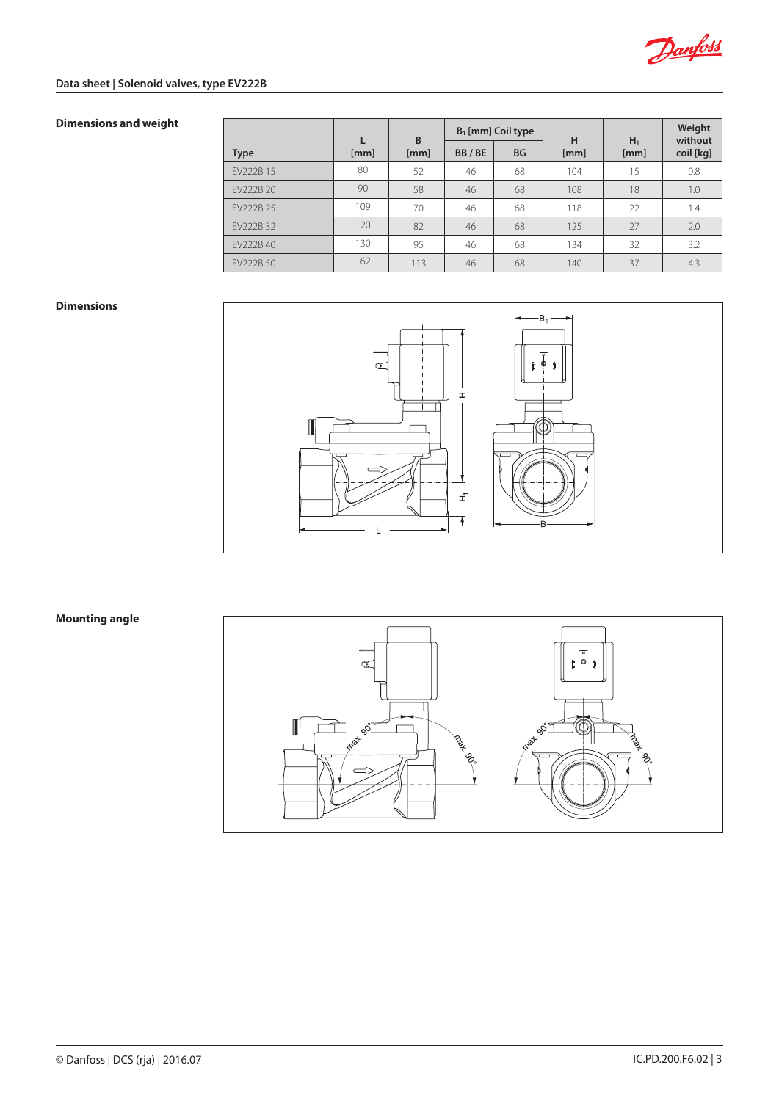

# **Data sheet | Solenoid valves, type EV222B**

# **Dimensions and weight**

|             |      | B    | $B_1$ [mm] Coil type |           | н    | $H_1$ | Weight<br>without |
|-------------|------|------|----------------------|-----------|------|-------|-------------------|
| <b>Type</b> | [mm] | [mm] | BB/BE                | <b>BG</b> | [mm] | [mm]  | coil [kg]         |
| EV222B 15   | 80   | 52   | 46                   | 68        | 104  | 15    | 0.8               |
| EV222B 20   | 90   | 58   | 46                   | 68        | 108  | 18    | 1.0               |
| FV222B 25   | 109  | 70   | 46                   | 68        | 118  | 22    | 1.4               |
| EV222B 32   | 120  | 82   | 46                   | 68        | 125  | 27    | 2.0               |
| EV222B 40   | 130  | 95   | 46                   | 68        | 134  | 32    | 3.2               |
| EV222B 50   | 162  | 113  | 46                   | 68        | 140  | 37    | 4.3               |

## **Dimensions**



# **Mounting angle**

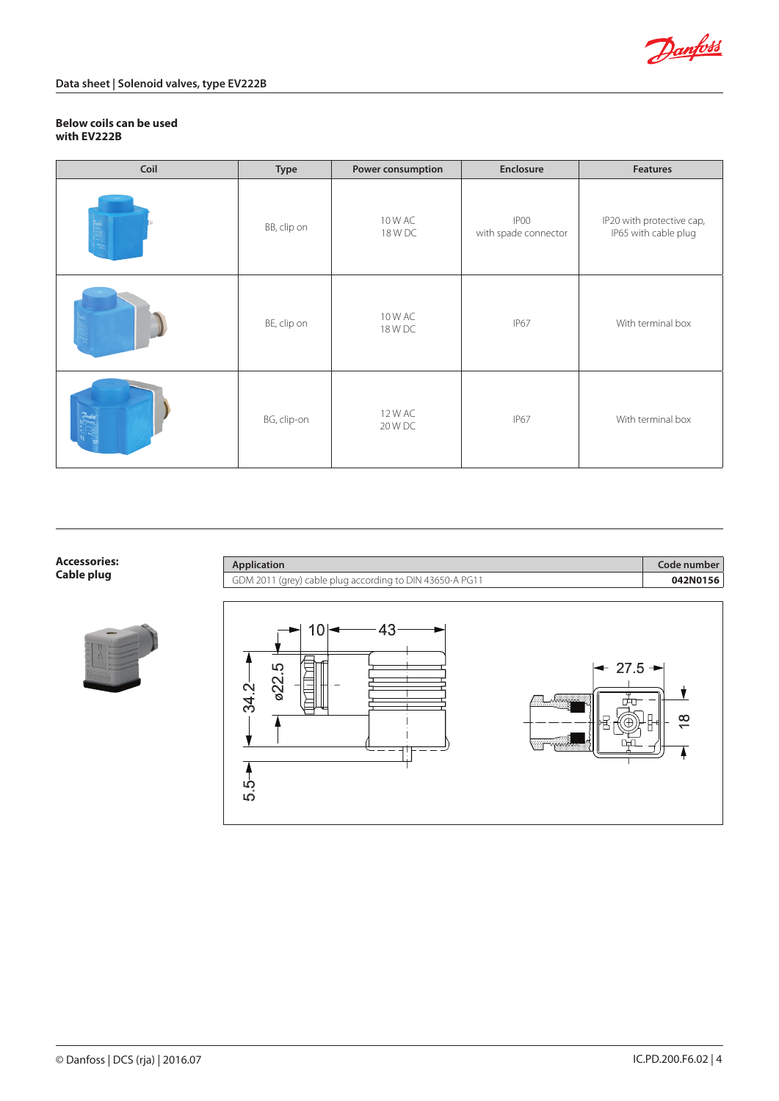

### **Below coils can be used with EV222B**

| Coil | Type        | Power consumption  | Enclosure                    | <b>Features</b>                                   |
|------|-------------|--------------------|------------------------------|---------------------------------------------------|
|      | BB, clip on | 10 W AC<br>18 W DC | IP00<br>with spade connector | IP20 with protective cap,<br>IP65 with cable plug |
|      | BE, clip on | 10 W AC<br>18 W DC | IP67                         | With terminal box                                 |
|      | BG, clip-on | 12 W AC<br>20 W DC | IP67                         | With terminal box                                 |

# **Accessories:**



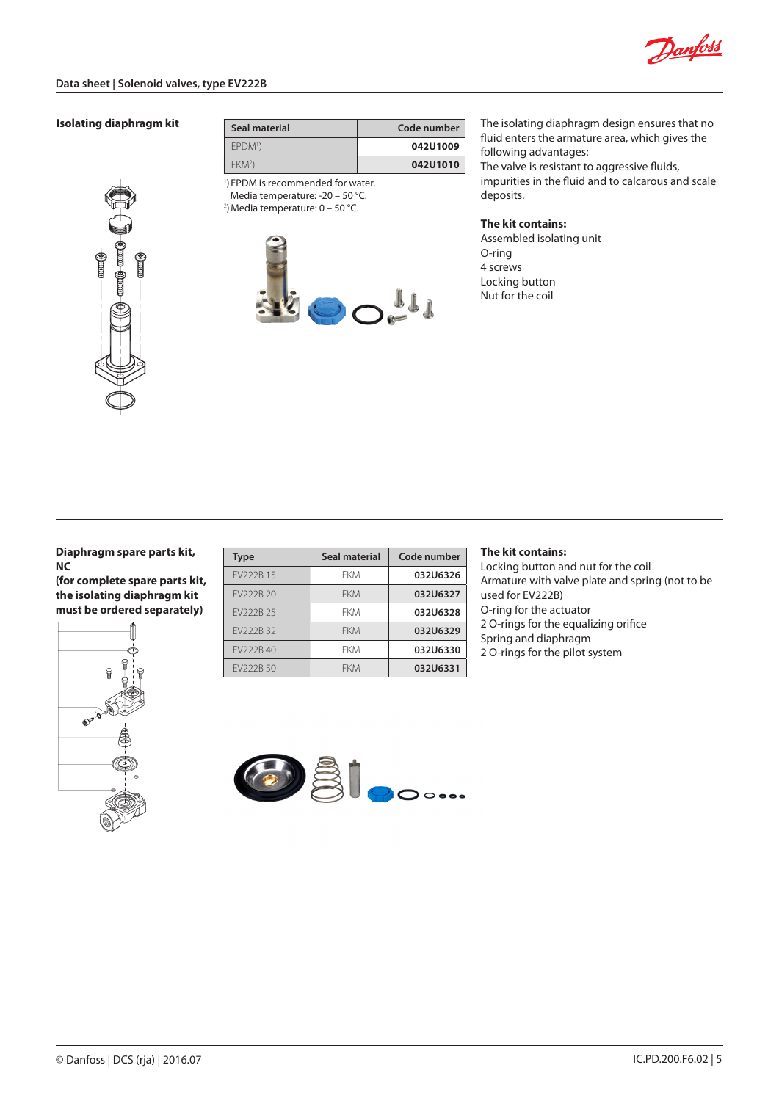

#### **Isolating diaphragm kit**

| ₫ |  |
|---|--|
|   |  |
|   |  |
|   |  |

| Seal material            | Code number |  |  |  |
|--------------------------|-------------|--|--|--|
| EPDM <sup>1</sup> )      | 042U1009    |  |  |  |
| FKM <sup>2</sup>         | 042U1010    |  |  |  |
| $1 \cup 2 \cup 3 \cup 4$ |             |  |  |  |

1 ) EPDM is recommended for water. Media temperature: -20 – 50 °C.

 $^{2}$ ) Media temperature: 0 – 50 °C.



The isolating diaphragm design ensures that no fluid enters the armature area, which gives the following advantages:

The valve is resistant to aggressive fluids, impurities in the fluid and to calcarous and scale deposits.

#### **The kit contains:**

Assembled isolating unit O-ring 4 screws Locking button Nut for the coil

**Diaphragm spare parts kit, NC**

**(for complete spare parts kit, the isolating diaphragm kit must be ordered separately)**



| <b>Type</b> | Seal material | Code number |
|-------------|---------------|-------------|
| FV222B 15   | FKM           | 032U6326    |
| FV222B 20   | <b>FKM</b>    | 032U6327    |
| FV222B 25   | FKM           | 032U6328    |
| FV222B 32   | <b>FKM</b>    | 032U6329    |
| FV222B40    | FKM           | 032U6330    |
| FV222B 50   | FKM           | 032U6331    |

## **The kit contains:**

Locking button and nut for the coil Armature with valve plate and spring (not to be used for EV222B) O-ring for the actuator 2 O-rings for the equalizing orifice Spring and diaphragm 2 O-rings for the pilot system